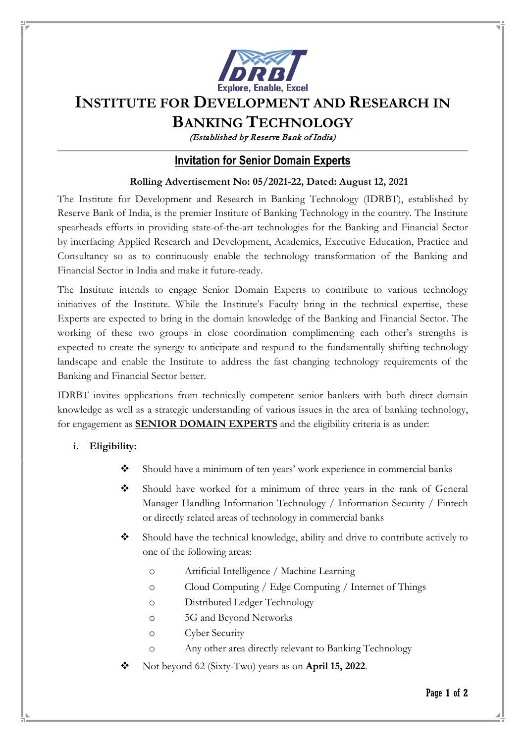

# **INSTITUTE FOR DEVELOPMENT AND RESEARCH IN**

## **BANKING TECHNOLOGY**

(Established by Reserve Bank of India)

### **Invitation for Senior Domain Experts**

#### **Rolling Advertisement No: 05/2021-22, Dated: August 12, 2021**

The Institute for Development and Research in Banking Technology (IDRBT), established by Reserve Bank of India, is the premier Institute of Banking Technology in the country. The Institute spearheads efforts in providing state-of-the-art technologies for the Banking and Financial Sector by interfacing Applied Research and Development, Academics, Executive Education, Practice and Consultancy so as to continuously enable the technology transformation of the Banking and Financial Sector in India and make it future-ready.

The Institute intends to engage Senior Domain Experts to contribute to various technology initiatives of the Institute. While the Institute's Faculty bring in the technical expertise, these Experts are expected to bring in the domain knowledge of the Banking and Financial Sector. The working of these two groups in close coordination complimenting each other's strengths is expected to create the synergy to anticipate and respond to the fundamentally shifting technology landscape and enable the Institute to address the fast changing technology requirements of the Banking and Financial Sector better.

IDRBT invites applications from technically competent senior bankers with both direct domain knowledge as well as a strategic understanding of various issues in the area of banking technology, for engagement as **SENIOR DOMAIN EXPERTS** and the eligibility criteria is as under:

#### **i. Eligibility:**

- Should have a minimum of ten years' work experience in commercial banks
- Should have worked for a minimum of three years in the rank of General Manager Handling Information Technology / Information Security / Fintech or directly related areas of technology in commercial banks
- Should have the technical knowledge, ability and drive to contribute actively to one of the following areas:
	- o Artificial Intelligence / Machine Learning
	- o Cloud Computing / Edge Computing / Internet of Things
	- o Distributed Ledger Technology
	- o 5G and Beyond Networks
	- o Cyber Security
	- o Any other area directly relevant to Banking Technology
- Not beyond 62 (Sixty-Two) years as on **April 15, 2022**.